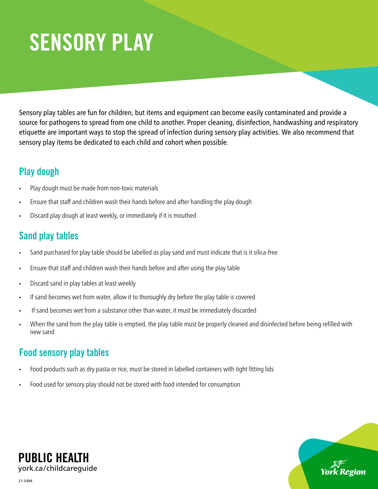# SENSORY PLAY

Sensory play tables are fun for children, but items and equipment can become easily contaminated and provide a source for pathogens to spread from one child to another. Proper cleaning, disinfection, handwashing and respiratory etiquette are important ways to stop the spread of infection during sensory play activities. We also recommend that sensory play items be dedicated to each child and cohort when possible.

## Play dough

- Play dough must be made from non-toxic materials
- Ensure that staff and children wash their hands before and after handling the play dough
- Discard play dough at least weekly, or immediately if it is mouthed

### Sand play tables

- Sand purchased for play table should be labelled as play sand and must indicate that is it silica-free
- Ensure that staff and children wash their hands before and after using the play table
- Discard sand in play tables at least weekly
- If sand becomes wet from water, allow it to thoroughly dry before the play table is covered
- If sand becomes wet from a substance other than water, it must be immediately discarded
- When the sand from the play table is emptied, the play table must be properly cleaned and disinfected before being refilled with new sand

## Food sensory play tables

- Food products such as dry pasta or rice, must be stored in labelled containers with tight fitting lids
- Food used for sensory play should not be stored with food intended for consumption